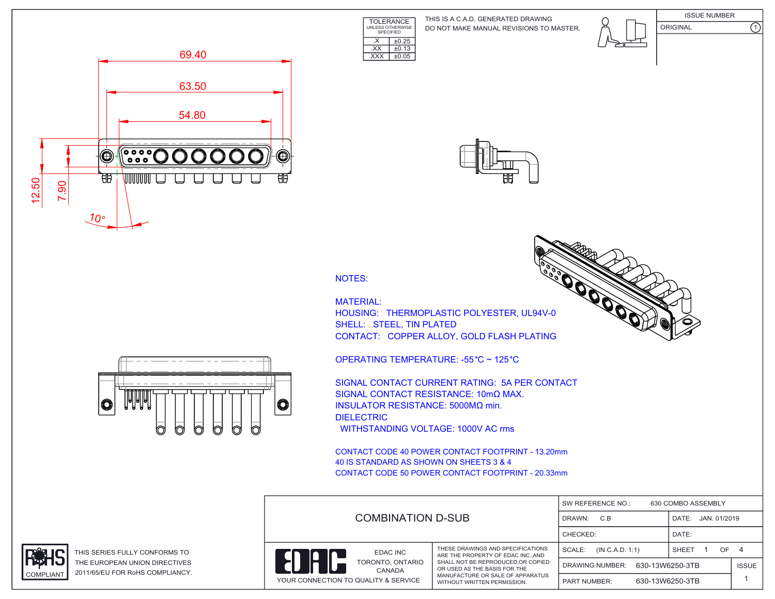**TOLERANCE** UNLESS OTHERWISE SPECIFIED DO NOT MAKE MANUAL REVISIONS TO MASTER. THIS IS A C.A.D. GENERATED DRAWING



**COOPERATION** 

ISSUE NUMBER ORIGINAL (1)







 $\overline{\text{EXX}}$   $\pm 0.13$ .XXX ±0.05

 $\overline{\text{X}}$   $\overline{\text{+0.25}}$ 

MATERIAL: HOUSING: THERMOPLASTIC POLYESTER, UL94V-0 SHELL: STEEL, TIN PLATED CONTACT: COPPER ALLOY, GOLD FLASH PLATING

OPERATING TEMPERATURE: -55 °C ~ 125 °C

SIGNAL CONTACT CURRENT RATING: 5A PER CONTACT SIGNAL CONTACT RESISTANCE: 10mΩ MAX. INSULATOR RESISTANCE: 5000MΩ min. DIELECTRIC WITHSTANDING VOLTAGE: 1000V AC rms

CONTACT CODE 40 POWER CONTACT FOOTPRINT - 13.20mm 40 IS STANDARD AS SHOWN ON SHEETS 3 & 4 CONTACT CODE 50 POWER CONTACT FOOTPRINT - 20.33mm

|                                        |                                                                                                                                                                                                                 | SW REFERENCE NO.:<br>630 COMBO ASSEMBLY |                       |              |  |
|----------------------------------------|-----------------------------------------------------------------------------------------------------------------------------------------------------------------------------------------------------------------|-----------------------------------------|-----------------------|--------------|--|
|                                        | <b>COMBINATION D-SUB</b>                                                                                                                                                                                        |                                         | JAN. 01/2019<br>DATE: |              |  |
|                                        |                                                                                                                                                                                                                 | CHECKED:                                | DATE:                 |              |  |
| EDAC INC<br>TORONTO, ONTARIO<br>CANADA | THESE DRAWINGS AND SPECIFICATIONS<br>ARE THE PROPERTY OF EDAC INC. AND<br>SHALL NOT BE REPRODUCED, OR COPIED<br>OR USED AS THE BASIS FOR THE<br>MANUFACTURE OR SALE OF APPARATUS<br>WITHOUT WRITTEN PERMISSION. | SCALE:<br>(IN C.A.D. 1:1)               | OF.<br>SHEET          |              |  |
|                                        |                                                                                                                                                                                                                 | 630-13W6250-3TB<br>DRAWING NUMBER:      |                       | <b>ISSUE</b> |  |
| YOUR CONNECTION TO QUALITY & SERVICE   |                                                                                                                                                                                                                 | 630-13W6250-3TB<br><b>PART NUMBER:</b>  |                       |              |  |





THIS SERIES FULLY CONFORMS TO THE EUROPEAN UNION DIRECTIVES COMPLIANT 2011/65/EU FOR RoHS COMPLIANCY.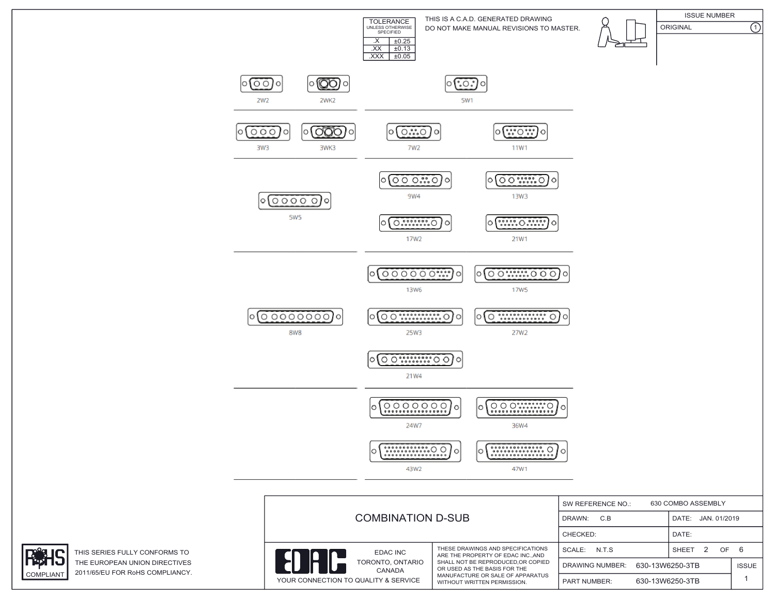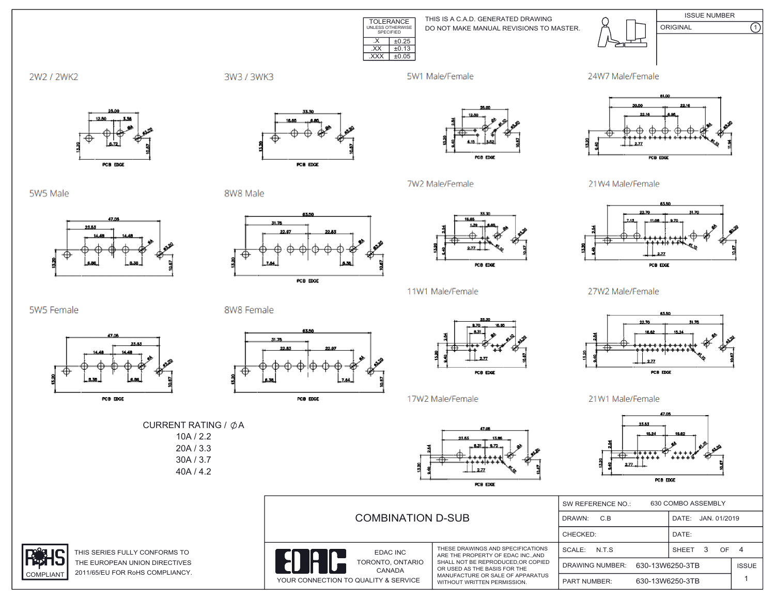

DO NOT MAKE MANUAL REVISIONS TO MASTER. THIS IS A C.A.D. GENERATED DRAWING



ISSUE NUMBER ORIGINAL (1)

2W2 / 2WK2

3W3 / 3WK3

5W1 Male/Female

7W2 Male/Female













PCB EDGE

11W1 Male/Female

17W2 Male/Female

## 21W4 Male/Female



27W2 Male/Female



21W1 Male/Female



|                       | <b>COMBINATION D-SUB</b>                                                 |                                                                                                                                      | 630 COMBO ASSEMBLY<br>SW REFERENCE NO.:   |                       |              |
|-----------------------|--------------------------------------------------------------------------|--------------------------------------------------------------------------------------------------------------------------------------|-------------------------------------------|-----------------------|--------------|
|                       |                                                                          |                                                                                                                                      | DRAWN:<br>C.B                             | JAN. 01/2019<br>DATE: |              |
|                       |                                                                          |                                                                                                                                      | CHECKED:<br>DATE:                         |                       |              |
| <b>IS TO</b>          | EDAC INC                                                                 | THESE DRAWINGS AND SPECIFICATIONS<br>ARE THE PROPERTY OF EDAC INCAND                                                                 | SCALE:<br>N.T.S                           | SHEET                 | OF 4         |
| <b>TIVES</b><br>ANCY. | 1Ĥ<br>TORONTO, ONTARIO<br>CANADA<br>YOUR CONNECTION TO QUALITY & SERVICE | SHALL NOT BE REPRODUCED.OR COPIED<br>OR USED AS THE BASIS FOR THE<br>MANUFACTURE OR SALE OF APPARATUS<br>WITHOUT WRITTEN PERMISSION. | 630-13W6250-3TB<br><b>DRAWING NUMBER:</b> |                       | <b>ISSUE</b> |
|                       |                                                                          |                                                                                                                                      | <b>PART NUMBER:</b>                       | 630-13W6250-3TB       |              |

5W5 Female



PCB EDGE

25.63

8W8 Female



PCB EDGE



CURRENT RATING /  $\phi$ A 10A / 2.2 20A / 3.3 30A / 3.7 40A / 4.2

PCB EDGE

THIS SERIES FULLY CONFORM THE EUROPEAN UNION DIREC COMPLIANT 2011/65/EU FOR RoHS COMPLI